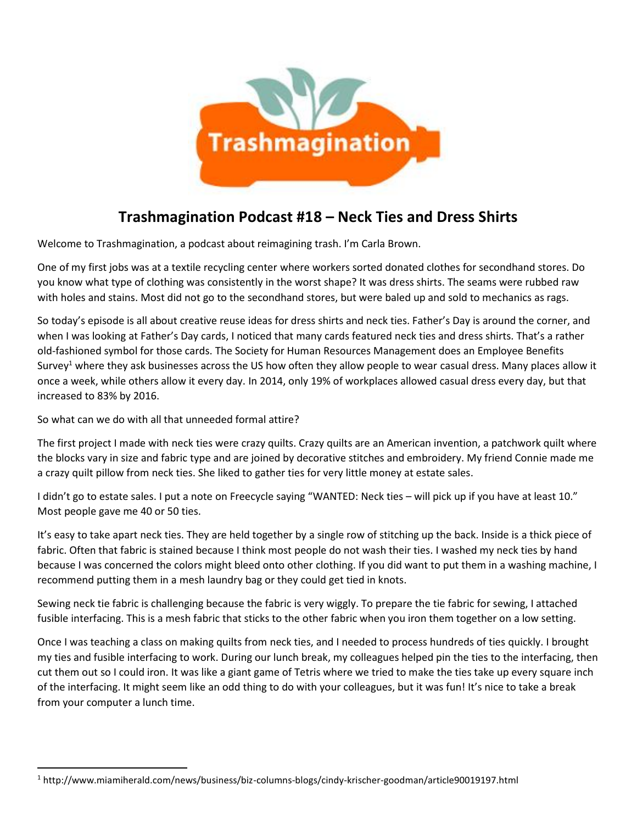

## **Trashmagination Podcast #18 – Neck Ties and Dress Shirts**

Welcome to Trashmagination, a podcast about reimagining trash. I'm Carla Brown.

One of my first jobs was at a textile recycling center where workers sorted donated clothes for secondhand stores. Do you know what type of clothing was consistently in the worst shape? It was dress shirts. The seams were rubbed raw with holes and stains. Most did not go to the secondhand stores, but were baled up and sold to mechanics as rags.

So today's episode is all about creative reuse ideas for dress shirts and neck ties. Father's Day is around the corner, and when I was looking at Father's Day cards, I noticed that many cards featured neck ties and dress shirts. That's a rather old-fashioned symbol for those cards. The Society for Human Resources Management does an Employee Benefits Survey<sup>1</sup> where they ask businesses across the US how often they allow people to wear casual dress. Many places allow it once a week, while others allow it every day. In 2014, only 19% of workplaces allowed casual dress every day, but that increased to 83% by 2016.

So what can we do with all that unneeded formal attire?

The first project I made with neck ties were crazy quilts. Crazy quilts are an American invention, a patchwork quilt where the blocks vary in size and fabric type and are joined by decorative stitches and embroidery. My friend Connie made me a crazy quilt pillow from neck ties. She liked to gather ties for very little money at estate sales.

I didn't go to estate sales. I put a note on Freecycle saying "WANTED: Neck ties – will pick up if you have at least 10." Most people gave me 40 or 50 ties.

It's easy to take apart neck ties. They are held together by a single row of stitching up the back. Inside is a thick piece of fabric. Often that fabric is stained because I think most people do not wash their ties. I washed my neck ties by hand because I was concerned the colors might bleed onto other clothing. If you did want to put them in a washing machine, I recommend putting them in a mesh laundry bag or they could get tied in knots.

Sewing neck tie fabric is challenging because the fabric is very wiggly. To prepare the tie fabric for sewing, I attached fusible interfacing. This is a mesh fabric that sticks to the other fabric when you iron them together on a low setting.

Once I was teaching a class on making quilts from neck ties, and I needed to process hundreds of ties quickly. I brought my ties and fusible interfacing to work. During our lunch break, my colleagues helped pin the ties to the interfacing, then cut them out so I could iron. It was like a giant game of Tetris where we tried to make the ties take up every square inch of the interfacing. It might seem like an odd thing to do with your colleagues, but it was fun! It's nice to take a break from your computer a lunch time.

<sup>1</sup> http://www.miamiherald.com/news/business/biz-columns-blogs/cindy-krischer-goodman/article90019197.html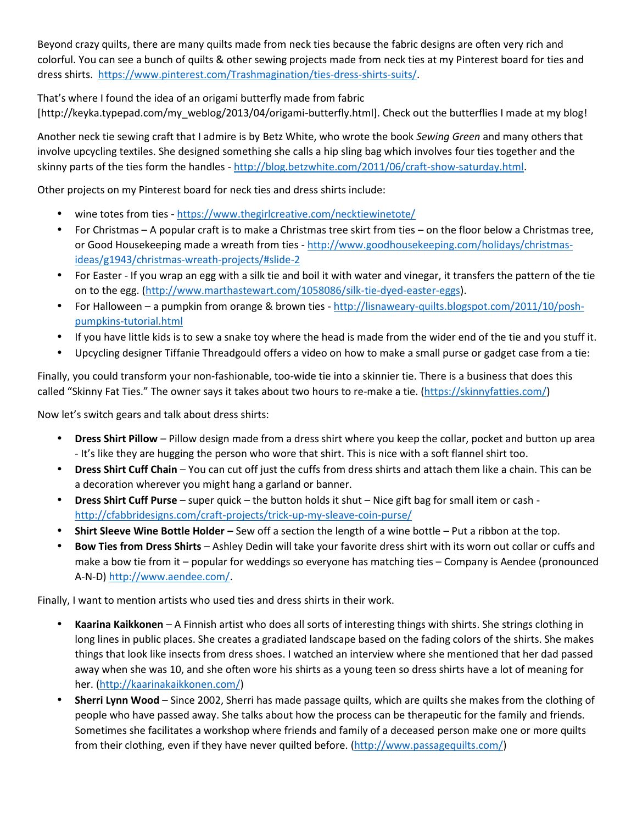Beyond crazy quilts, there are many quilts made from neck ties because the fabric designs are often very rich and colorful. You can see a bunch of quilts & other sewing projects made from neck ties at my Pinterest board for ties and dress shirts. https://www.pinterest.com/Trashmagination/ties-dress-shirts-suits/.

That's where I found the idea of an origami butterfly made from fabric [http://keyka.typepad.com/my\_weblog/2013/04/origami-butterfly.html]. Check out the butterflies I made at my blog!

Another neck tie sewing craft that I admire is by Betz White, who wrote the book *Sewing Green* and many others that involve upcycling textiles. She designed something she calls a hip sling bag which involves four ties together and the skinny parts of the ties form the handles - http://blog.betzwhite.com/2011/06/craft-show-saturday.html.

Other projects on my Pinterest board for neck ties and dress shirts include:

- wine totes from ties -https://www.thegirlcreative.com/necktiewinetote/
- For Christmas A popular craft is to make a Christmas tree skirt from ties on the floor below a Christmas tree, or Good Housekeeping made a wreath from ties - http://www.goodhousekeeping.com/holidays/christmasideas/g1943/christmas-wreath-projects/#slide-2
- For Easter If you wrap an egg with a silk tie and boil it with water and vinegar, it transfers the pattern of the tie on to the egg. (http://www.marthastewart.com/1058086/silk-tie-dyed-easter-eggs).
- For Halloween a pumpkin from orange & brown ties http://lisnaweary-quilts.blogspot.com/2011/10/posh pumpkins-tutorial.html
- If you have little kids is to sew a snake toy where the head is made from the wider end of the tie and you stuff it.
- Upcycling designer Tiffanie Threadgould offers a video on how to make a small purse or gadget case from a tie:

Finally, you could transform your non-fashionable, too-wide tie into a skinnier tie. There is a business that does this called "Skinny Fat Ties." The owner says it takes about two hours to re-make a tie. (https://skinnyfatties.com/)

Now let's switch gears and talk about dress shirts:

- **Dress Shirt Pillow** Pillow design made from a dress shirt where you keep the collar, pocket and button up area - It's like they are hugging the person who wore that shirt. This is nice with a soft flannel shirt too.
- **Dress Shirt Cuff Chain** You can cut off just the cuffs from dress shirts and attach them like a chain. This can be a decoration wherever you might hang a garland or banner.
- **Dress Shirt Cuff Purse** super quick the button holds it shut Nice gift bag for small item or cash http://cfabbridesigns.com/craft-projects/trick-up-my-sleave-coin-purse/
- **Shirt Sleeve Wine Bottle Holder –** Sew off a section the length of a wine bottle Put a ribbon at the top.
- **Bow Ties from Dress Shirts** Ashley Dedin will take your favorite dress shirt with its worn out collar or cuffs and make a bow tie from it – popular for weddings so everyone has matching ties – Company is Aendee (pronounced A-N-D) http://www.aendee.com/.

Finally, I want to mention artists who used ties and dress shirts in their work.

- **Kaarina Kaikkonen** A Finnish artist who does all sorts of interesting things with shirts. She strings clothing in long lines in public places. She creates a gradiated landscape based on the fading colors of the shirts. She makes things that look like insects from dress shoes. I watched an interview where she mentioned that her dad passed away when she was 10, and she often wore his shirts as a young teen so dress shirts have a lot of meaning for her. (http://kaarinakaikkonen.com/)
- **Sherri Lynn Wood** Since 2002, Sherri has made passage quilts, which are quilts she makes from the clothing of people who have passed away. She talks about how the process can be therapeutic for the family and friends. Sometimes she facilitates a workshop where friends and family of a deceased person make one or more quilts from their clothing, even if they have never quilted before. (http://www.passagequilts.com/)